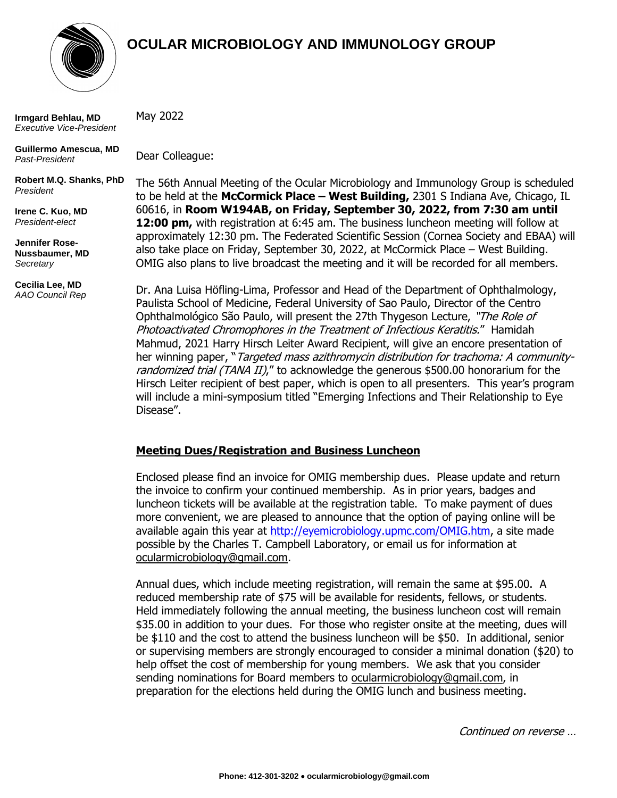

# **OCULAR MICROBIOLOGY AND IMMUNOLOGY GROUP**

**Irmgard Behlau, MD** *Executive Vice-President*

**Guillermo Amescua, MD** *Past-President*

**Robert M.Q. Shanks, PhD** *President* 

**Irene C. Kuo, MD** *President-elect*

**Jennifer Rose-Nussbaumer, MD** *Secretary*

**Cecilia Lee, MD** *AAO Council Rep* May 2022

Dear Colleague:

The 56th Annual Meeting of the Ocular Microbiology and Immunology Group is scheduled to be held at the **McCormick Place – West Building,** 2301 S Indiana Ave, Chicago, IL 60616, in **Room W194AB, on Friday, September 30, 2022, from 7:30 am until 12:00 pm,** with registration at 6:45 am. The business luncheon meeting will follow at approximately 12:30 pm. The Federated Scientific Session (Cornea Society and EBAA) will also take place on Friday, September 30, 2022, at McCormick Place – West Building. OMIG also plans to live broadcast the meeting and it will be recorded for all members.

Dr. Ana Luisa Höfling-Lima, Professor and Head of the Department of Ophthalmology, Paulista School of Medicine, Federal University of Sao Paulo, Director of the Centro Ophthalmológico São Paulo, will present the 27th Thygeson Lecture, "The Role of Photoactivated Chromophores in the Treatment of Infectious Keratitis." Hamidah Mahmud, 2021 Harry Hirsch Leiter Award Recipient, will give an encore presentation of her winning paper, "Targeted mass azithromycin distribution for trachoma: A communityrandomized trial (TANA II)," to acknowledge the generous \$500.00 honorarium for the Hirsch Leiter recipient of best paper, which is open to all presenters. This year's program will include a mini-symposium titled "Emerging Infections and Their Relationship to Eye Disease".

# **Meeting Dues/Registration and Business Luncheon**

Enclosed please find an invoice for OMIG membership dues. Please update and return the invoice to confirm your continued membership. As in prior years, badges and luncheon tickets will be available at the registration table. To make payment of dues more convenient, we are pleased to announce that the option of paying online will be available again this year at [http://eyemicrobiology.upmc.com/OMIG.htm,](http://eyemicrobiology.upmc.com/OMIG.htm) a site made possible by the Charles T. Campbell Laboratory, or email us for information at ocularmicrobiology@gmail.com.

Annual dues, which include meeting registration, will remain the same at \$95.00. A reduced membership rate of \$75 will be available for residents, fellows, or students. Held immediately following the annual meeting, the business luncheon cost will remain \$35.00 in addition to your dues. For those who register onsite at the meeting, dues will be \$110 and the cost to attend the business luncheon will be \$50. In additional, senior or supervising members are strongly encouraged to consider a minimal donation (\$20) to help offset the cost of membership for young members. We ask that you consider sending nominations for Board members to ocularmicrobiology@gmail.com, in preparation for the elections held during the OMIG lunch and business meeting.

Continued on reverse …